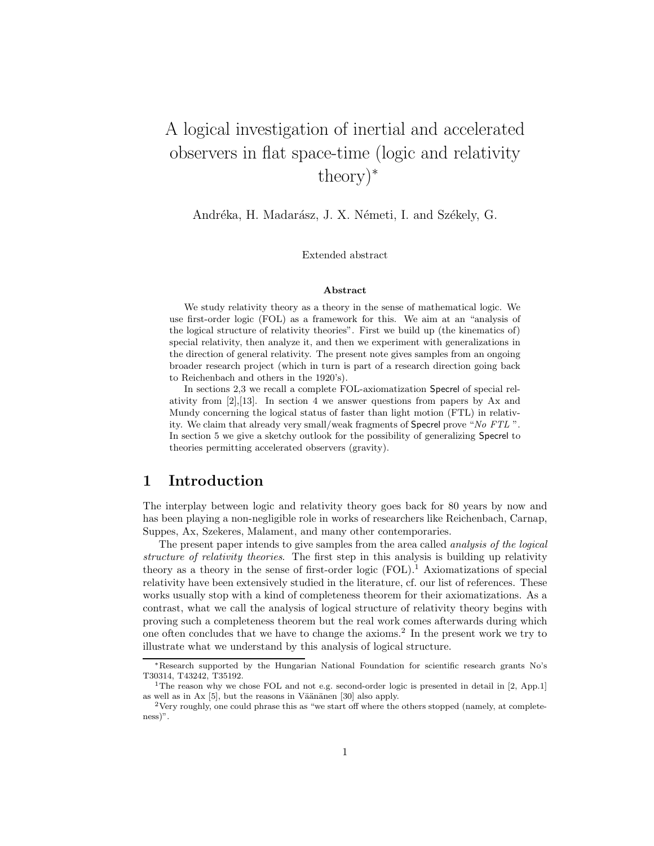# A logical investigation of inertial and accelerated observers in flat space-time (logic and relativity theory)<sup>∗</sup>

Andréka, H. Madarász, J. X. Németi, I. and Székely, G.

Extended abstract

#### Abstract

We study relativity theory as a theory in the sense of mathematical logic. We use first-order logic (FOL) as a framework for this. We aim at an "analysis of the logical structure of relativity theories". First we build up (the kinematics of) special relativity, then analyze it, and then we experiment with generalizations in the direction of general relativity. The present note gives samples from an ongoing broader research project (which in turn is part of a research direction going back to Reichenbach and others in the 1920's).

In sections 2,3 we recall a complete FOL-axiomatization Specrel of special relativity from  $[2], [13]$ . In section 4 we answer questions from papers by Ax and Mundy concerning the logical status of faster than light motion (FTL) in relativity. We claim that already very small/weak fragments of Specrel prove "No FTL ". In section 5 we give a sketchy outlook for the possibility of generalizing Specrel to theories permitting accelerated observers (gravity).

### 1 Introduction

The interplay between logic and relativity theory goes back for 80 years by now and has been playing a non-negligible role in works of researchers like Reichenbach, Carnap, Suppes, Ax, Szekeres, Malament, and many other contemporaries.

The present paper intends to give samples from the area called *analysis of the logical* structure of relativity theories. The first step in this analysis is building up relativity theory as a theory in the sense of first-order logic  $(FOL)^1$ . Axiomatizations of special relativity have been extensively studied in the literature, cf. our list of references. These works usually stop with a kind of completeness theorem for their axiomatizations. As a contrast, what we call the analysis of logical structure of relativity theory begins with proving such a completeness theorem but the real work comes afterwards during which one often concludes that we have to change the axioms.<sup>2</sup> In the present work we try to illustrate what we understand by this analysis of logical structure.

<sup>∗</sup>Research supported by the Hungarian National Foundation for scientific research grants No's T30314, T43242, T35192.

<sup>&</sup>lt;sup>1</sup>The reason why we chose FOL and not e.g. second-order logic is presented in detail in [2, App.1] as well as in Ax  $[5]$ , but the reasons in Väänänen  $[30]$  also apply.

<sup>&</sup>lt;sup>2</sup>Very roughly, one could phrase this as "we start off where the others stopped (namely, at completeness)".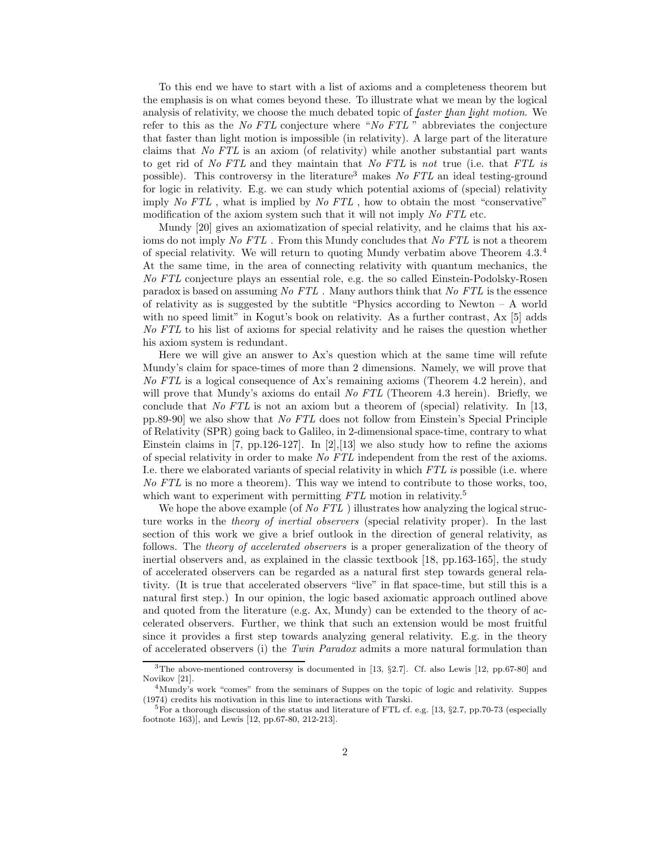To this end we have to start with a list of axioms and a completeness theorem but the emphasis is on what comes beyond these. To illustrate what we mean by the logical analysis of relativity, we choose the much debated topic of faster than light motion. We refer to this as the No FTL conjecture where "No FTL " abbreviates the conjecture that faster than light motion is impossible (in relativity). A large part of the literature claims that No FTL is an axiom (of relativity) while another substantial part wants to get rid of No FTL and they maintain that No FTL is not true (i.e. that FTL is possible). This controversy in the literature<sup>3</sup> makes  $No$   $FTL$  an ideal testing-ground for logic in relativity. E.g. we can study which potential axioms of (special) relativity imply No FTL , what is implied by No FTL , how to obtain the most "conservative" modification of the axiom system such that it will not imply No FTL etc.

Mundy [20] gives an axiomatization of special relativity, and he claims that his axioms do not imply No FTL. From this Mundy concludes that No FTL is not a theorem of special relativity. We will return to quoting Mundy verbatim above Theorem 4.3.<sup>4</sup> At the same time, in the area of connecting relativity with quantum mechanics, the No FTL conjecture plays an essential role, e.g. the so called Einstein-Podolsky-Rosen paradox is based on assuming No FTL . Many authors think that No FTL is the essence of relativity as is suggested by the subtitle "Physics according to Newton – A world with no speed limit" in Kogut's book on relativity. As a further contrast, Ax [5] adds No FTL to his list of axioms for special relativity and he raises the question whether his axiom system is redundant.

Here we will give an answer to Ax's question which at the same time will refute Mundy's claim for space-times of more than 2 dimensions. Namely, we will prove that No FTL is a logical consequence of Ax's remaining axioms (Theorem 4.2 herein), and will prove that Mundy's axioms do entail No FTL (Theorem 4.3 herein). Briefly, we conclude that No FTL is not an axiom but a theorem of (special) relativity. In [13, pp.89-90] we also show that No FTL does not follow from Einstein's Special Principle of Relativity (SPR) going back to Galileo, in 2-dimensional space-time, contrary to what Einstein claims in [7, pp.126-127]. In [2], [13] we also study how to refine the axioms of special relativity in order to make No FTL independent from the rest of the axioms. I.e. there we elaborated variants of special relativity in which FTL is possible (i.e. where No FTL is no more a theorem). This way we intend to contribute to those works, too, which want to experiment with permitting  $FTL$  motion in relativity.<sup>5</sup>

We hope the above example (of No  $FTL$ ) illustrates how analyzing the logical structure works in the theory of inertial observers (special relativity proper). In the last section of this work we give a brief outlook in the direction of general relativity, as follows. The theory of accelerated observers is a proper generalization of the theory of inertial observers and, as explained in the classic textbook [18, pp.163-165], the study of accelerated observers can be regarded as a natural first step towards general relativity. (It is true that accelerated observers "live" in flat space-time, but still this is a natural first step.) In our opinion, the logic based axiomatic approach outlined above and quoted from the literature (e.g. Ax, Mundy) can be extended to the theory of accelerated observers. Further, we think that such an extension would be most fruitful since it provides a first step towards analyzing general relativity. E.g. in the theory of accelerated observers (i) the Twin Paradox admits a more natural formulation than

<sup>3</sup>The above-mentioned controversy is documented in [13, §2.7]. Cf. also Lewis [12, pp.67-80] and Novikov [21].

<sup>&</sup>lt;sup>4</sup>Mundy's work "comes" from the seminars of Suppes on the topic of logic and relativity. Suppes (1974) credits his motivation in this line to interactions with Tarski.

<sup>&</sup>lt;sup>5</sup>For a thorough discussion of the status and literature of FTL cf. e.g. [13, §2.7, pp.70-73 (especially footnote 163)], and Lewis [12, pp.67-80, 212-213].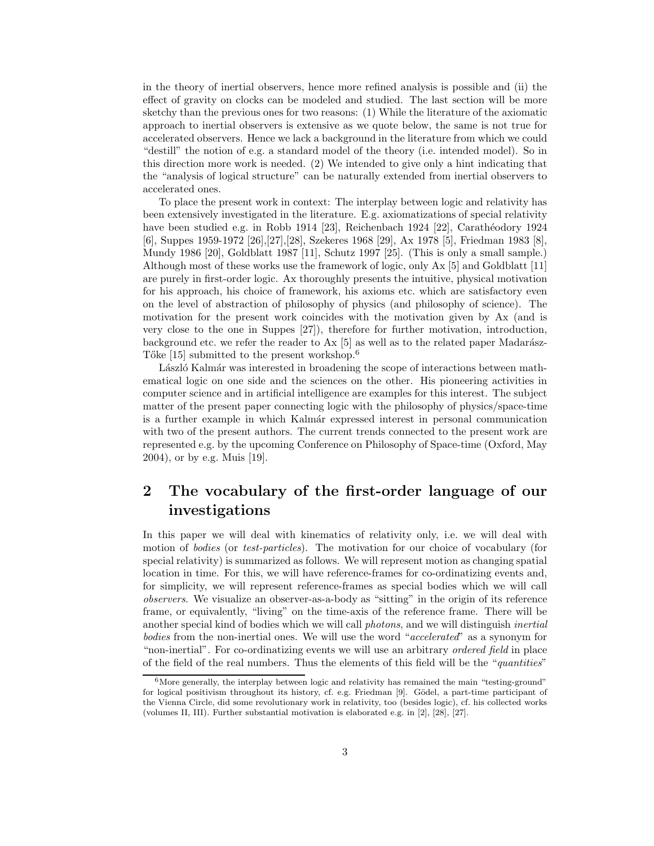in the theory of inertial observers, hence more refined analysis is possible and (ii) the effect of gravity on clocks can be modeled and studied. The last section will be more sketchy than the previous ones for two reasons: (1) While the literature of the axiomatic approach to inertial observers is extensive as we quote below, the same is not true for accelerated observers. Hence we lack a background in the literature from which we could "destill" the notion of e.g. a standard model of the theory (i.e. intended model). So in this direction more work is needed. (2) We intended to give only a hint indicating that the "analysis of logical structure" can be naturally extended from inertial observers to accelerated ones.

To place the present work in context: The interplay between logic and relativity has been extensively investigated in the literature. E.g. axiomatizations of special relativity have been studied e.g. in Robb 1914 [23], Reichenbach 1924 [22], Carathéodory 1924 [6], Suppes 1959-1972 [26],[27],[28], Szekeres 1968 [29], Ax 1978 [5], Friedman 1983 [8], Mundy 1986 [20], Goldblatt 1987 [11], Schutz 1997 [25]. (This is only a small sample.) Although most of these works use the framework of logic, only Ax [5] and Goldblatt [11] are purely in first-order logic. Ax thoroughly presents the intuitive, physical motivation for his approach, his choice of framework, his axioms etc. which are satisfactory even on the level of abstraction of philosophy of physics (and philosophy of science). The motivation for the present work coincides with the motivation given by Ax (and is very close to the one in Suppes [27]), therefore for further motivation, introduction, background etc. we refer the reader to  $Ax$  [5] as well as to the related paper Madarász-Tőke [15] submitted to the present workshop.<sup>6</sup>

László Kalmár was interested in broadening the scope of interactions between mathematical logic on one side and the sciences on the other. His pioneering activities in computer science and in artificial intelligence are examples for this interest. The subject matter of the present paper connecting logic with the philosophy of physics/space-time is a further example in which Kalmár expressed interest in personal communication with two of the present authors. The current trends connected to the present work are represented e.g. by the upcoming Conference on Philosophy of Space-time (Oxford, May 2004), or by e.g. Muis [19].

## 2 The vocabulary of the first-order language of our investigations

In this paper we will deal with kinematics of relativity only, i.e. we will deal with motion of bodies (or test-particles). The motivation for our choice of vocabulary (for special relativity) is summarized as follows. We will represent motion as changing spatial location in time. For this, we will have reference-frames for co-ordinatizing events and, for simplicity, we will represent reference-frames as special bodies which we will call observers. We visualize an observer-as-a-body as "sitting" in the origin of its reference frame, or equivalently, "living" on the time-axis of the reference frame. There will be another special kind of bodies which we will call *photons*, and we will distinguish *inertial* bodies from the non-inertial ones. We will use the word "accelerated" as a synonym for "non-inertial". For co-ordinatizing events we will use an arbitrary *ordered field* in place of the field of the real numbers. Thus the elements of this field will be the "quantities"

 $6$ More generally, the interplay between logic and relativity has remained the main "testing-ground" for logical positivism throughout its history, cf. e.g. Friedman [9]. Gödel, a part-time participant of the Vienna Circle, did some revolutionary work in relativity, too (besides logic), cf. his collected works (volumes II, III). Further substantial motivation is elaborated e.g. in [2], [28], [27].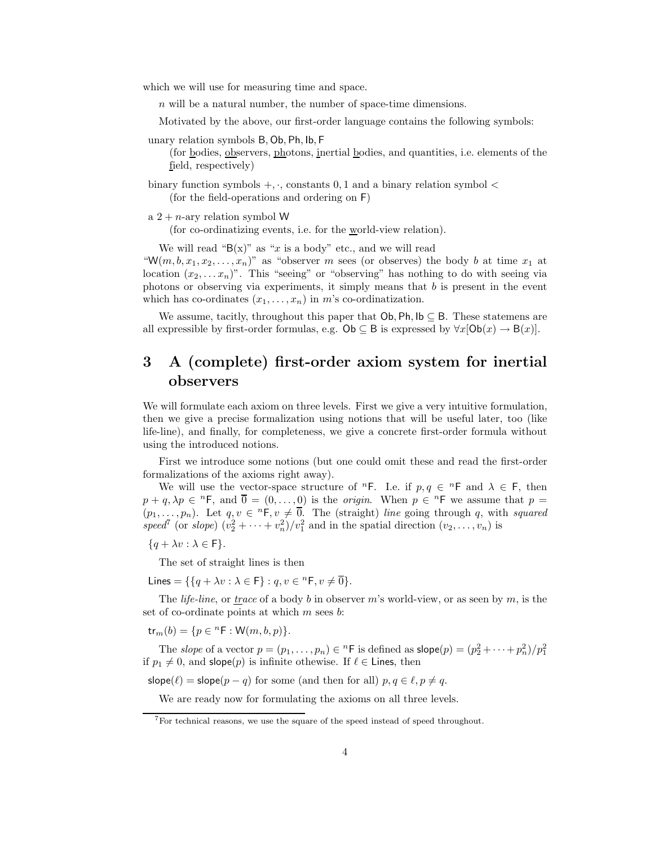which we will use for measuring time and space.

 $n$  will be a natural number, the number of space-time dimensions.

Motivated by the above, our first-order language contains the following symbols:

unary relation symbols B, Ob, Ph, Ib, F

(for bodies, observers, photons, inertial bodies, and quantities, i.e. elements of the field, respectively)

binary function symbols  $+, \cdot$ , constants 0, 1 and a binary relation symbol  $\lt$ (for the field-operations and ordering on F)

a  $2 + n$ -ary relation symbol W

(for co-ordinatizing events, i.e. for the world-view relation).

We will read " $B(x)$ " as "x is a body" etc., and we will read

"W(m, b,  $x_1, x_2, \ldots, x_n$ )" as "observer m sees (or observes) the body b at time  $x_1$  at location  $(x_2, \ldots, x_n)$ ". This "seeing" or "observing" has nothing to do with seeing via photons or observing via experiments, it simply means that  $b$  is present in the event which has co-ordinates  $(x_1, \ldots, x_n)$  in m's co-ordinatization.

We assume, tacitly, throughout this paper that  $Ob$ , Ph,  $lb \subseteq B$ . These statemens are all expressible by first-order formulas, e.g.  $\mathsf{Ob} \subseteq \mathsf{B}$  is expressed by  $\forall x[\mathsf{Ob}(x) \rightarrow \mathsf{B}(x)].$ 

## 3 A (complete) first-order axiom system for inertial observers

We will formulate each axiom on three levels. First we give a very intuitive formulation, then we give a precise formalization using notions that will be useful later, too (like life-line), and finally, for completeness, we give a concrete first-order formula without using the introduced notions.

First we introduce some notions (but one could omit these and read the first-order formalizations of the axioms right away).

We will use the vector-space structure of  ${}^n$ F. I.e. if  $p, q \in {}^n$ F and  $\lambda \in F$ , then  $p + q$ ,  $\lambda p \in {}^{n}F$ , and  $\overline{0} = (0, \ldots, 0)$  is the *origin*. When  $p \in {}^{n}F$  we assume that  $p =$  $(p_1, \ldots, p_n)$ . Let  $q, v \in {}^n\mathsf{F}, v \neq \overline{0}$ . The (straight) line going through q, with squared speed<sup>7</sup> (or slope)  $(v_2^2 + \cdots + v_n^2)/v_1^2$  and in the spatial direction  $(v_2, \ldots, v_n)$  is

 ${q + \lambda v : \lambda \in F}.$ 

The set of straight lines is then

Lines = { $\{q + \lambda v : \lambda \in \mathsf{F}\} : q, v \in {}^n\mathsf{F}, v \neq \overline{0}\}.$ 

The *life-line*, or *trace* of a body b in observer m's world-view, or as seen by m, is the set of co-ordinate points at which  $m$  sees  $b$ :

 $tr_m(b) = \{p \in {}^nF : W(m, b, p)\}.$ 

The *slope* of a vector  $p = (p_1, \ldots, p_n) \in {}^n\mathsf{F}$  is defined as  $\mathsf{slope}(p) = (p_2^2 + \cdots + p_n^2)/p_1^2$ if  $p_1 \neq 0$ , and slope(p) is infinite othewise. If  $\ell \in$  Lines, then

slope( $\ell$ ) = slope( $p - q$ ) for some (and then for all)  $p, q \in \ell, p \neq q$ .

We are ready now for formulating the axioms on all three levels.

<sup>7</sup>For technical reasons, we use the square of the speed instead of speed throughout.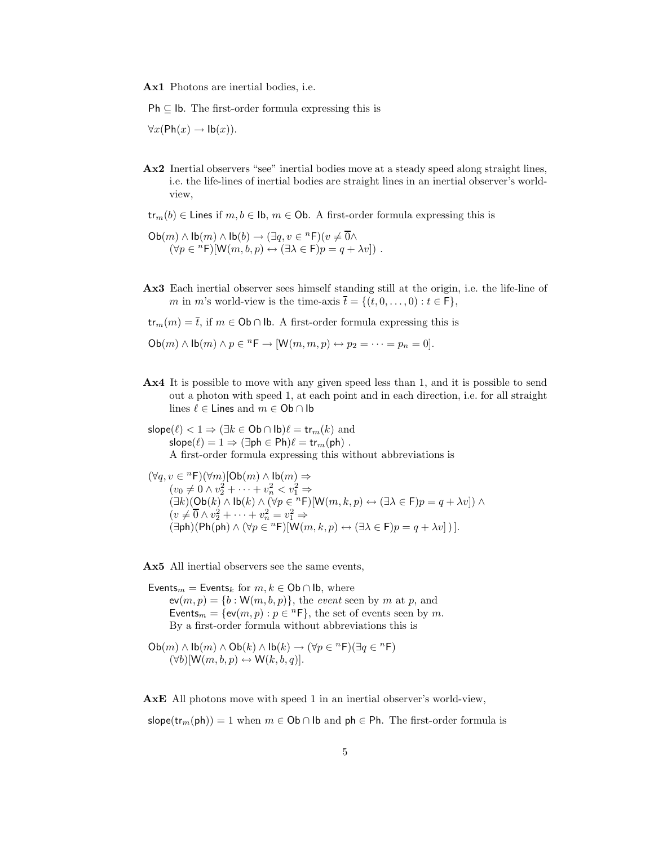Ax1 Photons are inertial bodies, i.e.

 $Ph \subseteq Ib$ . The first-order formula expressing this is

 $\forall x (\text{Ph}(x) \rightarrow \text{lb}(x)).$ 

- Ax2 Inertial observers "see" inertial bodies move at a steady speed along straight lines, i.e. the life-lines of inertial bodies are straight lines in an inertial observer's worldview,
- $tr_m(b) \in$  Lines if  $m, b \in$  Ib,  $m \in$  Ob. A first-order formula expressing this is
- $\mathsf{Ob}(m) \wedge \mathsf{lb}(m) \wedge \mathsf{lb}(b) \rightarrow (\exists q, v \in {}^n\mathsf{F})(v \neq \overline{0} \wedge$  $(\forall p \in {}^n\mathsf{F})[\mathsf{W}(m, b, p) \leftrightarrow (\exists \lambda \in \mathsf{F})p = q + \lambda v])$ .
- Ax3 Each inertial observer sees himself standing still at the origin, i.e. the life-line of m in m's world-view is the time-axis  $\overline{t} = \{(t, 0, \ldots, 0) : t \in F\},\$

 $tr_m(m) = \overline{t}$ , if  $m \in \text{Ob} \cap \text{lb}$ . A first-order formula expressing this is

 $Ob(m) \wedge lb(m) \wedge p \in {}^{n}F \rightarrow [W(m, m, p) \leftrightarrow p_2 = \cdots = p_n = 0].$ 

- Ax4 It is possible to move with any given speed less than 1, and it is possible to send out a photon with speed 1, at each point and in each direction, i.e. for all straight lines  $\ell \in$  Lines and  $m \in$  Ob  $\cap$  Ib
- slope( $\ell$ ) < 1  $\Rightarrow$  ( $\exists k \in \text{Ob} \cap \text{lb}$ ) $\ell = \text{tr}_m(k)$  and  $slope(\ell) = 1 \Rightarrow (\exists ph \in Ph)\ell = \text{tr}_{m}(ph)$ . A first-order formula expressing this without abbreviations is
- $(\forall q, v \in {}^{n} \mathsf{F})(\forall m)[\mathsf{Ob}(m) \wedge \mathsf{lb}(m) \Rightarrow$  $(v_0 \neq 0 \wedge v_2^2 + \cdots + v_n^2 < v_1^2 \Rightarrow$  $(\exists k)(\mathsf{Ob}(k) \land \mathsf{lb}(k) \land (\forall p \in {}^{n}\mathsf{F})[\mathsf{W}(m,k,p) \leftrightarrow (\exists \lambda \in \mathsf{F})p = q + \lambda v]) \land$  $(v \neq \overline{0} \land v_2^2 + \cdots + v_n^2 = v_1^2 \Rightarrow$  $(\exists ph)(Ph(ph) \wedge (\forall p \in {}^{n}F)[W(m,k,p) \leftrightarrow (\exists \lambda \in F)p = q + \lambda v])$ ].

Ax5 All inertial observers see the same events,

Events<sub>m</sub> = Events<sub>k</sub> for  $m, k \in \text{Ob} \cap \text{lb}$ , where  $ev(m, p) = \{b : W(m, b, p)\},\$  the *event* seen by m at p, and Events<sub>m</sub> = { $ev(m, p) : p \in {}^{n}F$ }, the set of events seen by *m*. By a first-order formula without abbreviations this is

$$
\begin{array}{c}\mathsf{Ob}(m) \wedge \mathsf{lb}(m) \wedge \mathsf{Ob}(k) \wedge \mathsf{lb}(k) \rightarrow (\forall p \in {}^n\mathsf{F})(\exists q \in {}^n\mathsf{F})\\ (\forall b)[\mathsf{W}(m, b, p) \leftrightarrow \mathsf{W}(k, b, q)].\end{array}
$$

AxE All photons move with speed 1 in an inertial observer's world-view,

slope(tr<sub>m</sub>(ph)) = 1 when  $m \in \text{Ob} \cap \text{lb}$  and ph  $\in \text{Ph}$ . The first-order formula is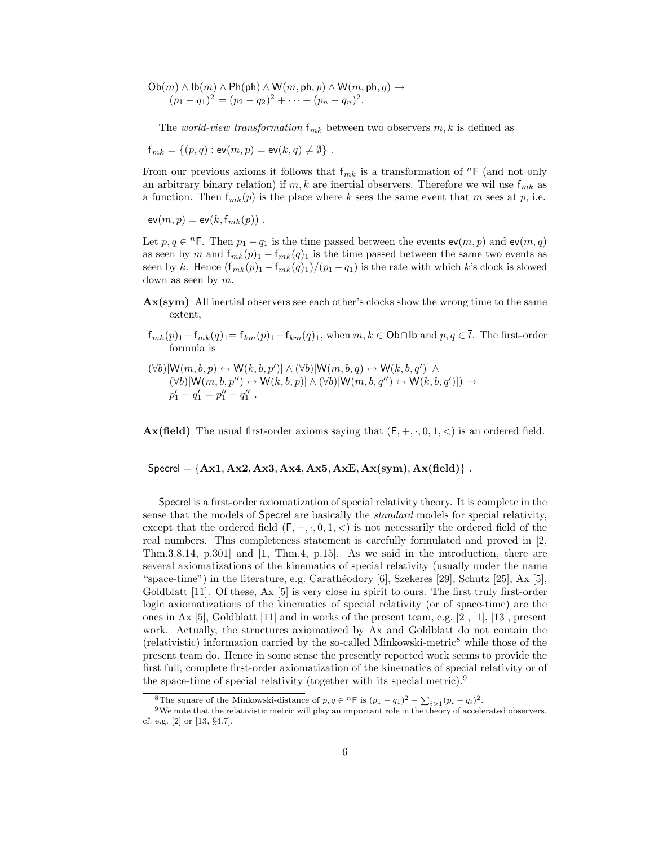$\mathsf{Ob}(m) \land \mathsf{lb}(m) \land \mathsf{Ph}(\mathsf{ph}) \land \mathsf{W}(m,\mathsf{ph},p) \land \mathsf{W}(m,\mathsf{ph},q) \to$  $(p_1 - q_1)^2 = (p_2 - q_2)^2 + \cdots + (p_n - q_n)^2.$ 

The *world-view transformation*  $f_{mk}$  between two observers  $m, k$  is defined as

$$
f_{mk} = \{(p,q) : \mathsf{ev}(m,p) = \mathsf{ev}(k,q) \neq \emptyset\}.
$$

From our previous axioms it follows that  $f_{mk}$  is a transformation of  ${}^n$ F (and not only an arbitrary binary relation) if m, k are inertial observers. Therefore we will use  $f_{mk}$  as a function. Then  $f_{mk}(p)$  is the place where k sees the same event that m sees at p, i.e.

$$
\mathsf{ev}(m,p) = \mathsf{ev}(k,\mathsf{f}_{mk}(p)) .
$$

Let  $p, q \in {}^{n}F$ . Then  $p_1 - q_1$  is the time passed between the events  $ev(m, p)$  and  $ev(m, q)$ as seen by m and  $f_{mk}(p)$ <sub>1</sub> –  $f_{mk}(q)$ <sub>1</sub> is the time passed between the same two events as seen by k. Hence  $(f_{mk}(p) - f_{mk}(q))/(p_1 - q_1)$  is the rate with which k's clock is slowed down as seen by m.

- Ax(sym) All inertial observers see each other's clocks show the wrong time to the same extent,
- $f_{mk}(p)_{1} f_{mk}(q)_{1} = f_{km}(p)_{1} f_{km}(q)_{1}$ , when  $m, k \in \mathsf{Ob} \cap \mathsf{lb}$  and  $p, q \in \overline{t}$ . The first-order formula is
- $(\forall b)[\mathsf{W}(m, b, p) \leftrightarrow \mathsf{W}(k, b, p')] \wedge (\forall b)[\mathsf{W}(m, b, q) \leftrightarrow \mathsf{W}(k, b, q')] \wedge$  $(\forall b)[\mathsf{W}(m, b, p'') \leftrightarrow \mathsf{W}(k, b, p)] \wedge (\forall b)[\mathsf{W}(m, b, q'') \leftrightarrow \mathsf{W}(k, b, q')] ) \rightarrow$  $p'_1 - q'_1 = p''_1 - q''_1$ .

**Ax(field)** The usual first-order axioms saying that  $(F, +, \cdot, 0, 1, \lt)$  is an ordered field.

 $\text{Specrel} = \{Ax1, Ax2, Ax3, Ax4, Ax5, AxE, Ax(sym), Ax(field)\}\$ .

Specrel is a first-order axiomatization of special relativity theory. It is complete in the sense that the models of Specrel are basically the standard models for special relativity, except that the ordered field  $(F, +, \cdot, 0, 1, <)$  is not necessarily the ordered field of the real numbers. This completeness statement is carefully formulated and proved in [2, Thm.3.8.14, p.301] and [1, Thm.4, p.15]. As we said in the introduction, there are several axiomatizations of the kinematics of special relativity (usually under the name "space-time") in the literature, e.g. Carathéodory  $[6]$ , Szekeres [29], Schutz [25], Ax  $[5]$ , Goldblatt [11]. Of these, Ax [5] is very close in spirit to ours. The first truly first-order logic axiomatizations of the kinematics of special relativity (or of space-time) are the ones in Ax [5], Goldblatt  $[11]$  and in works of the present team, e.g.  $[2]$ ,  $[1]$ ,  $[13]$ , present work. Actually, the structures axiomatized by Ax and Goldblatt do not contain the (relativistic) information carried by the so-called Minkowski-metric<sup>8</sup> while those of the present team do. Hence in some sense the presently reported work seems to provide the first full, complete first-order axiomatization of the kinematics of special relativity or of the space-time of special relativity (together with its special metric).<sup>9</sup>

<sup>&</sup>lt;sup>8</sup>The square of the Minkowski-distance of  $p, q \in {}^{n}F$  is  $(p_1 - q_1)^2 - \sum_{i>1} (p_i - q_i)^2$ .

<sup>&</sup>lt;sup>9</sup>We note that the relativistic metric will play an important role in the theory of accelerated observers, cf. e.g. [2] or [13, §4.7].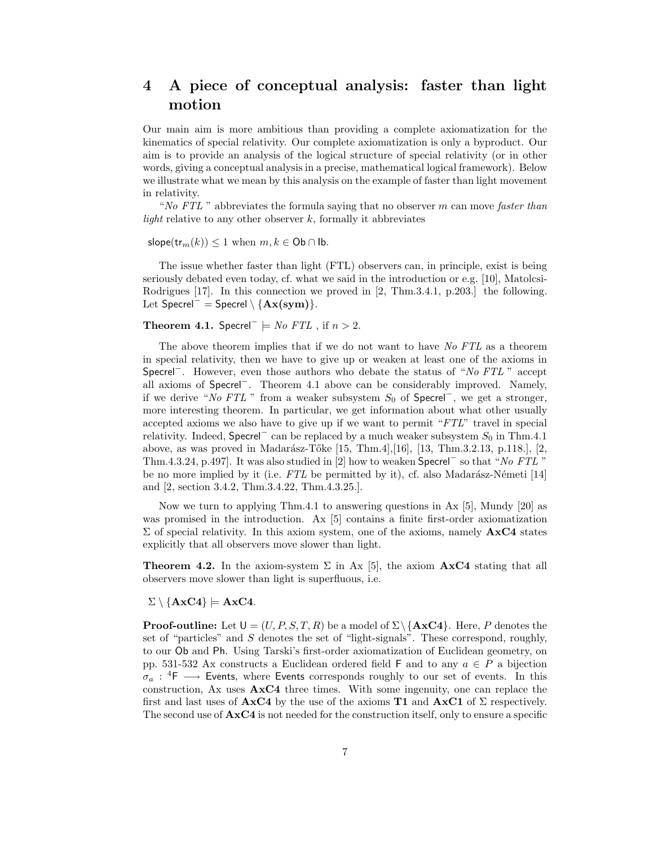## 4 A piece of conceptual analysis: faster than light motion

Our main aim is more ambitious than providing a complete axiomatization for the kinematics of special relativity. Our complete axiomatization is only a byproduct. Our aim is to provide an analysis of the logical structure of special relativity (or in other words, giving a conceptual analysis in a precise, mathematical logical framework). Below we illustrate what we mean by this analysis on the example of faster than light movement in relativity.

"No FTL" abbreviates the formula saying that no observer m can move faster than light relative to any other observer  $k$ , formally it abbreviates

slope(tr<sub>m</sub> $(k)$ ) < 1 when  $m, k \in \mathsf{Ob} \cap \mathsf{lb}$ .

The issue whether faster than light (FTL) observers can, in principle, exist is being seriously debated even today, cf. what we said in the introduction or e.g. [10], Matolcsi-Rodrigues [17]. In this connection we proved in [2, Thm.3.4.1, p.203.] the following. Let Specrel<sup>-</sup> = Specrel \ { $A x (sym)$  }.

Theorem 4.1. Specrel<sup>-</sup>  $\models$  *No FTL* , if  $n > 2$ .

The above theorem implies that if we do not want to have No FTL as a theorem in special relativity, then we have to give up or weaken at least one of the axioms in Specrel<sup>−</sup>. However, even those authors who debate the status of "No FTL " accept all axioms of Specrel<sup>−</sup>. Theorem 4.1 above can be considerably improved. Namely, if we derive "No FTL" from a weaker subsystem  $S_0$  of Specrel<sup>-</sup>, we get a stronger, more interesting theorem. In particular, we get information about what other usually accepted axioms we also have to give up if we want to permit "FTL" travel in special relativity. Indeed, Specrel<sup>-</sup> can be replaced by a much weaker subsystem  $S_0$  in Thm.4.1 above, as was proved in Madarász-Tőke [15, Thm.4],[16], [13, Thm.3.2.13, p.118.], [2, Thm.4.3.24, p.497]. It was also studied in [2] how to weaken Specrel<sup>−</sup> so that "No FTL " be no more implied by it (i.e.  $FTL$  be permitted by it), cf. also Madarász-Németi [14] and [2, section 3.4.2, Thm.3.4.22, Thm.4.3.25.].

Now we turn to applying Thm.4.1 to answering questions in Ax [5], Mundy [20] as was promised in the introduction. Ax [5] contains a finite first-order axiomatization  $\Sigma$  of special relativity. In this axiom system, one of the axioms, namely  $A \times C4$  states explicitly that all observers move slower than light.

**Theorem 4.2.** In the axiom-system  $\Sigma$  in Ax [5], the axiom  $\mathbf{Ax}C4$  stating that all observers move slower than light is superfluous, i.e.

 $\Sigma \setminus {\bf{AxC4}} = {\bf{AxC4}}.$ 

**Proof-outline:** Let  $U = (U, P, S, T, R)$  be a model of  $\Sigma \setminus {\bf{AxC4}}$ . Here, P denotes the set of "particles" and  $S$  denotes the set of "light-signals". These correspond, roughly, to our Ob and Ph. Using Tarski's first-order axiomatization of Euclidean geometry, on pp. 531-532 Ax constructs a Euclidean ordered field F and to any  $a \in P$  a bijection  $\sigma_a$ : <sup>4</sup>F  $\longrightarrow$  Events, where Events corresponds roughly to our set of events. In this construction, Ax uses  $A \times C4$  three times. With some ingenuity, one can replace the first and last uses of  $A \times C4$  by the use of the axioms **T1** and  $A \times C1$  of  $\Sigma$  respectively. The second use of AxC4 is not needed for the construction itself, only to ensure a specific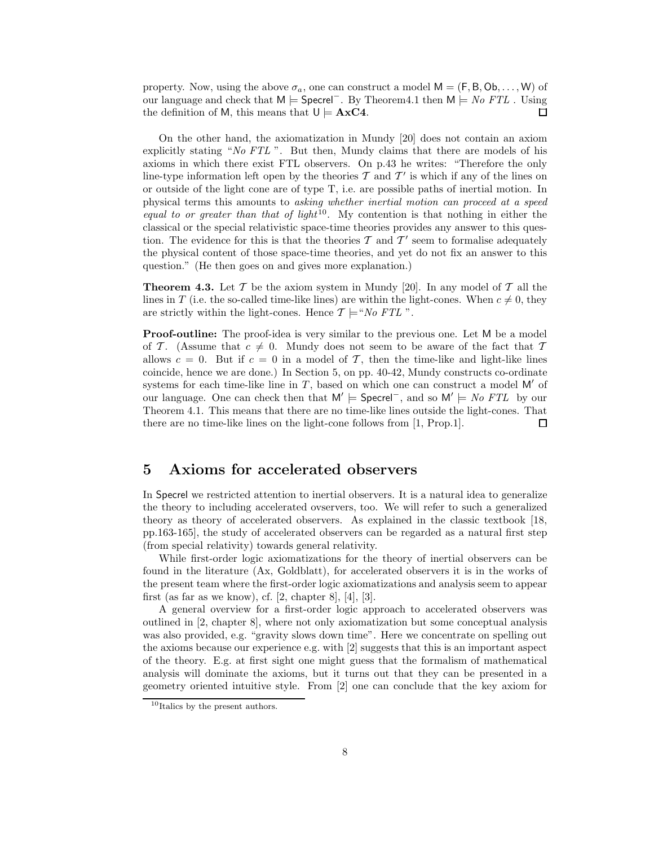property. Now, using the above  $\sigma_a$ , one can construct a model  $M = (F, B, Ob, \ldots, W)$  of our language and check that M  $\models$  Specrel<sup>-</sup>. By Theorem4.1 then M  $\models$  No FTL. Using the definition of M, this means that  $U \models A \times C4$ .  $\Box$ 

On the other hand, the axiomatization in Mundy [20] does not contain an axiom explicitly stating "No FTL ". But then, Mundy claims that there are models of his axioms in which there exist FTL observers. On p.43 he writes: "Therefore the only line-type information left open by the theories  $\mathcal T$  and  $\mathcal T'$  is which if any of the lines on or outside of the light cone are of type T, i.e. are possible paths of inertial motion. In physical terms this amounts to asking whether inertial motion can proceed at a speed equal to or greater than that of light<sup>10</sup>. My contention is that nothing in either the classical or the special relativistic space-time theories provides any answer to this question. The evidence for this is that the theories  $\mathcal T$  and  $\mathcal T'$  seem to formalise adequately the physical content of those space-time theories, and yet do not fix an answer to this question." (He then goes on and gives more explanation.)

**Theorem 4.3.** Let T be the axiom system in Mundy [20]. In any model of T all the lines in T (i.e. the so-called time-like lines) are within the light-cones. When  $c \neq 0$ , they are strictly within the light-cones. Hence  $\mathcal{T} \models ``No$  FTL".

Proof-outline: The proof-idea is very similar to the previous one. Let M be a model of T. (Assume that  $c \neq 0$ . Mundy does not seem to be aware of the fact that T allows  $c = 0$ . But if  $c = 0$  in a model of T, then the time-like and light-like lines coincide, hence we are done.) In Section 5, on pp. 40-42, Mundy constructs co-ordinate systems for each time-like line in  $T$ , based on which one can construct a model M' of our language. One can check then that  $M' \models$  Specrel<sup>-</sup>, and so  $M' \models No$  FTL by our Theorem 4.1. This means that there are no time-like lines outside the light-cones. That there are no time-like lines on the light-cone follows from [1, Prop.1].  $\Box$ 

#### 5 Axioms for accelerated observers

In Specrel we restricted attention to inertial observers. It is a natural idea to generalize the theory to including accelerated ovservers, too. We will refer to such a generalized theory as theory of accelerated observers. As explained in the classic textbook [18, pp.163-165], the study of accelerated observers can be regarded as a natural first step (from special relativity) towards general relativity.

While first-order logic axiomatizations for the theory of inertial observers can be found in the literature (Ax, Goldblatt), for accelerated observers it is in the works of the present team where the first-order logic axiomatizations and analysis seem to appear first (as far as we know), cf.  $[2,$  chapter 8,  $[4],$   $[3]$ .

A general overview for a first-order logic approach to accelerated observers was outlined in [2, chapter 8], where not only axiomatization but some conceptual analysis was also provided, e.g. "gravity slows down time". Here we concentrate on spelling out the axioms because our experience e.g. with [2] suggests that this is an important aspect of the theory. E.g. at first sight one might guess that the formalism of mathematical analysis will dominate the axioms, but it turns out that they can be presented in a geometry oriented intuitive style. From [2] one can conclude that the key axiom for

<sup>10</sup>Italics by the present authors.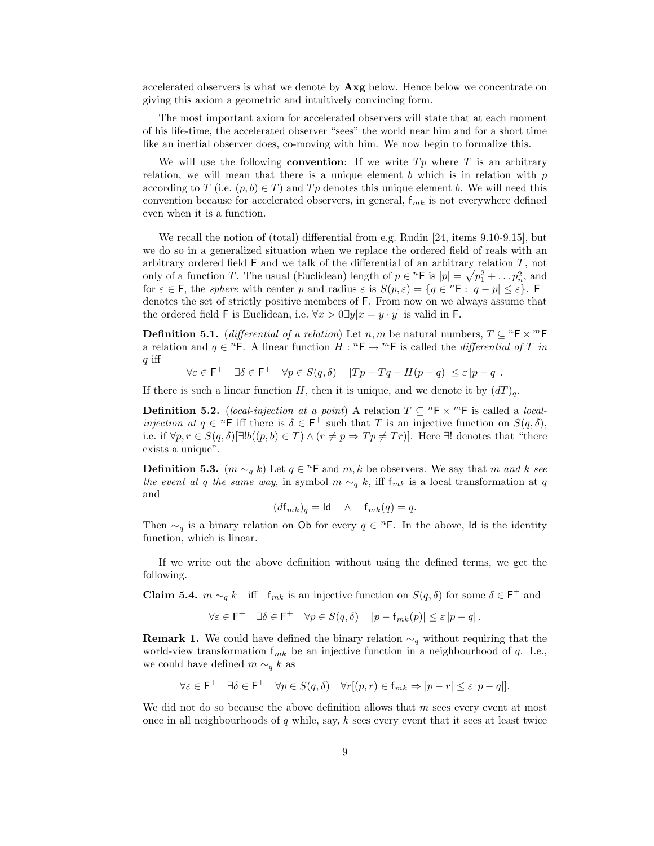accelerated observers is what we denote by Axg below. Hence below we concentrate on giving this axiom a geometric and intuitively convincing form.

The most important axiom for accelerated observers will state that at each moment of his life-time, the accelerated observer "sees" the world near him and for a short time like an inertial observer does, co-moving with him. We now begin to formalize this.

We will use the following **convention**: If we write  $Tp$  where  $T$  is an arbitrary relation, we will mean that there is a unique element b which is in relation with  $p$ according to T (i.e.  $(p, b) \in T$ ) and Tp denotes this unique element b. We will need this convention because for accelerated observers, in general,  $f_{mk}$  is not everywhere defined even when it is a function.

We recall the notion of (total) differential from e.g. Rudin [24, items 9.10-9.15], but we do so in a generalized situation when we replace the ordered field of reals with an arbitrary ordered field  $F$  and we talk of the differential of an arbitrary relation  $T$ , not only of a function T. The usual (Euclidean) length of  $p \in {}^{n}F$  is  $|p| = \sqrt{p_1^2 + \ldots p_n^2}$ , and for  $\varepsilon \in \mathsf{F}$ , the sphere with center p and radius  $\varepsilon$  is  $S(p,\varepsilon) = \{q \in \mathbb{R} : |q-p| \leq \varepsilon\}$ .  $\mathsf{F}^+$ denotes the set of strictly positive members of F. From now on we always assume that the ordered field F is Euclidean, i.e.  $\forall x > 0 \exists y | x = y \cdot y$  is valid in F.

**Definition 5.1.** (differential of a relation) Let n, m be natural numbers,  $T \subseteq {}^nF \times {}^mF$ a relation and  $q \in {}^{n}F$ . A linear function  $H : {}^{n}F \to {}^{m}F$  is called the *differential of* T in  $q$  iff

$$
\forall \varepsilon \in \mathsf{F}^+ \quad \exists \delta \in \mathsf{F}^+ \quad \forall p \in S(q, \delta) \quad |Tp - Tq - H(p - q)| \le \varepsilon |p - q|.
$$

If there is such a linear function H, then it is unique, and we denote it by  $(dT)_{q}$ .

**Definition 5.2.** (local-injection at a point) A relation  $T \subseteq {}^nF \times {}^mF$  is called a local*injection at*  $q \in {}^{n}F$  iff there is  $\delta \in F^{+}$  such that T is an injective function on  $S(q, \delta)$ , i.e. if  $\forall p, r \in S(q, \delta) \exists! b((p, b) \in T) \land (r \neq p \Rightarrow Tp \neq Tr)$ . Here  $\exists!$  denotes that "there exists a unique".

**Definition 5.3.**  $(m \sim_q k)$  Let  $q \in {}^nF$  and  $m, k$  be observers. We say that m and k see the event at q the same way, in symbol  $m \sim_q k$ , iff  $f_{mk}$  is a local transformation at q and

$$
(d\mathbf{f}_{mk})_q = \mathbf{Id} \quad \wedge \quad \mathbf{f}_{mk}(q) = q.
$$

Then  $\sim_q$  is a binary relation on Ob for every  $q \in \mathbb{R}^n$ . In the above, Id is the identity function, which is linear.

If we write out the above definition without using the defined terms, we get the following.

**Claim 5.4.**  $m \sim_q k$  iff  $f_{mk}$  is an injective function on  $S(q, \delta)$  for some  $\delta \in F^+$  and

$$
\forall \varepsilon \in \mathsf{F}^+ \quad \exists \delta \in \mathsf{F}^+ \quad \forall p \in S(q, \delta) \quad |p - \mathsf{f}_{mk}(p)| \le \varepsilon |p - q|.
$$

**Remark 1.** We could have defined the binary relation  $\sim_q$  without requiring that the world-view transformation  $f_{mk}$  be an injective function in a neighbourhood of q. I.e., we could have defined  $m \sim_q k$  as

$$
\forall \varepsilon \in \mathsf{F}^+ \quad \exists \delta \in \mathsf{F}^+ \quad \forall p \in S(q, \delta) \quad \forall r [(p, r) \in \mathsf{f}_{mk} \Rightarrow |p - r| \le \varepsilon |p - q|].
$$

We did not do so because the above definition allows that  $m$  sees every event at most once in all neighbourhoods of  $q$  while, say,  $k$  sees every event that it sees at least twice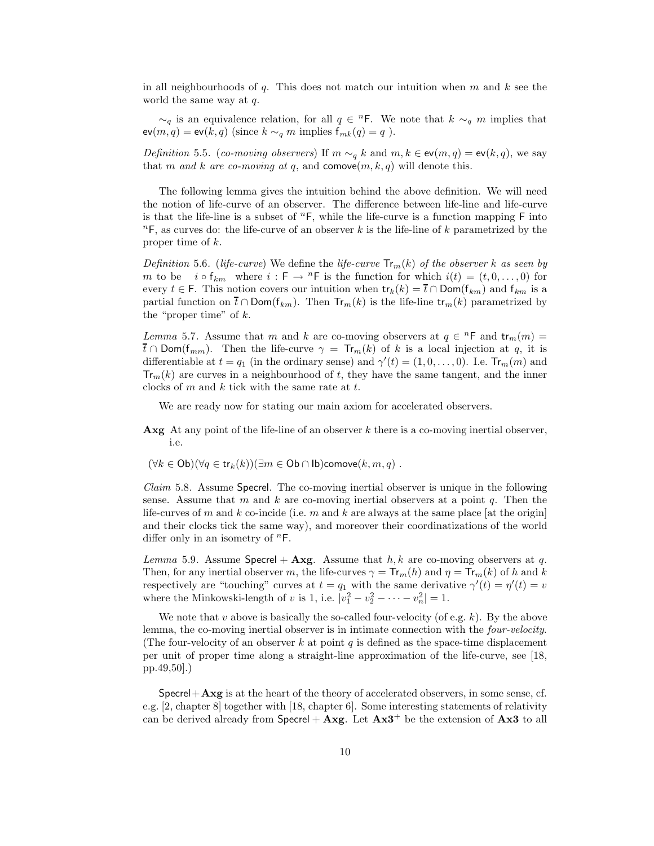in all neighbourhoods of q. This does not match our intuition when  $m$  and  $k$  see the world the same way at  $q$ .

 $\sim_q$  is an equivalence relation, for all  $q \in {}^n\mathsf{F}$ . We note that  $k \sim_q m$  implies that  $ev(m, q) = ev(k, q)$  (since  $k \sim_q m$  implies  $f_{mk}(q) = q$ ).

Definition 5.5. (co-moving observers) If  $m \sim_q k$  and  $m, k \in \text{ev}(m, q) = \text{ev}(k, q)$ , we say that m and k are co-moving at q, and comove $(m, k, q)$  will denote this.

The following lemma gives the intuition behind the above definition. We will need the notion of life-curve of an observer. The difference between life-line and life-curve is that the life-line is a subset of  ${}^n$ F, while the life-curve is a function mapping F into  ${}^n$ F, as curves do: the life-curve of an observer k is the life-line of k parametrized by the proper time of k.

Definition 5.6. (life-curve) We define the life-curve  $\text{Tr}_m(k)$  of the observer k as seen by m to be  $i \circ f_{km}$  where  $i : F \to {}^{n}F$  is the function for which  $i(t) = (t, 0, \ldots, 0)$  for every  $t \in F$ . This notion covers our intuition when  $tr_k(k) = \overline{t} \cap Dom(f_{km})$  and  $f_{km}$  is a partial function on  $\bar{t} \cap \text{Dom}(f_{km})$ . Then  $\text{Tr}_m(k)$  is the life-line  $\text{tr}_m(k)$  parametrized by the "proper time" of  $k$ .

Lemma 5.7. Assume that m and k are co-moving observers at  $q \in {}^{n}$ F and  $tr_m(m) =$  $\overline{t}$  ∩ Dom( $f_{mm}$ ). Then the life-curve  $\gamma = Tr_m(k)$  of k is a local injection at q, it is differentiable at  $t = q_1$  (in the ordinary sense) and  $\gamma'(t) = (1, 0, \ldots, 0)$ . I.e.  $Tr_m(m)$  and  $\text{Tr}_m(k)$  are curves in a neighbourhood of t, they have the same tangent, and the inner clocks of  $m$  and  $k$  tick with the same rate at  $t$ .

We are ready now for stating our main axiom for accelerated observers.

**Axg** At any point of the life-line of an observer  $k$  there is a co-moving inertial observer, i.e.

$$
(\forall k \in \mathsf{Ob})(\forall q \in \mathsf{tr}_k(k))(\exists m \in \mathsf{Ob} \cap \mathsf{lb}) \mathsf{conve}(k, m, q) .
$$

Claim 5.8. Assume Specrel. The co-moving inertial observer is unique in the following sense. Assume that m and k are co-moving inertial observers at a point  $q$ . Then the life-curves of m and k co-incide (i.e. m and k are always at the same place [at the origin] and their clocks tick the same way), and moreover their coordinatizations of the world differ only in an isometry of  ${}^n$ F.

Lemma 5.9. Assume Specrel + Axg. Assume that  $h, k$  are co-moving observers at q. Then, for any inertial observer m, the life-curves  $\gamma = Tr_m(h)$  and  $\eta = Tr_m(k)$  of h and k respectively are "touching" curves at  $t = q_1$  with the same derivative  $\gamma'(t) = \eta'(t) = v$ where the Minkowski-length of v is 1, i.e.  $|v_1^2 - v_2^2 - \cdots - v_n^2| = 1$ .

We note that v above is basically the so-called four-velocity (of e.g.  $k$ ). By the above lemma, the co-moving inertial observer is in intimate connection with the four-velocity. (The four-velocity of an observer k at point q is defined as the space-time displacement per unit of proper time along a straight-line approximation of the life-curve, see [18, pp.49,50].)

 $Spectral + Axg$  is at the heart of the theory of accelerated observers, in some sense, cf. e.g. [2, chapter 8] together with [18, chapter 6]. Some interesting statements of relativity can be derived already from  $Specrel + A xg$ . Let  $A x3^+$  be the extension of  $A x3$  to all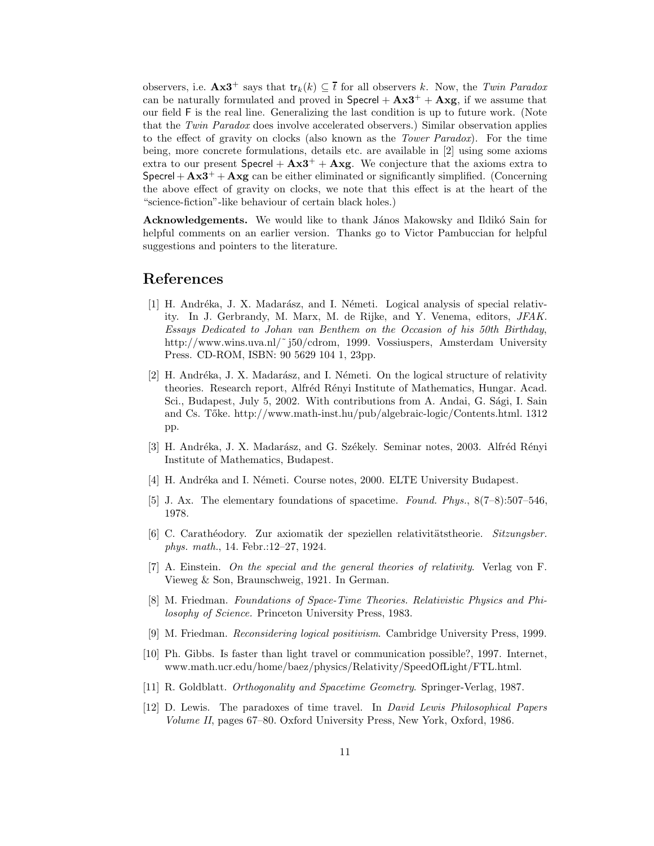observers, i.e.  $\mathbf{Ax3}^+$  says that  $\mathsf{tr}_k(k) \subseteq \overline{t}$  for all observers k. Now, the Twin Paradox can be naturally formulated and proved in  $Specel + Ax3^+ + Axg$ , if we assume that our field F is the real line. Generalizing the last condition is up to future work. (Note that the Twin Paradox does involve accelerated observers.) Similar observation applies to the effect of gravity on clocks (also known as the Tower Paradox). For the time being, more concrete formulations, details etc. are available in [2] using some axioms extra to our present  $Specrel + Ax3^+ + Axg$ . We conjecture that the axioms extra to Specrel +  $\mathbf{A} \times \mathbf{3}^+$  +  $\mathbf{A} \times \mathbf{g}$  can be either eliminated or significantly simplified. (Concerning the above effect of gravity on clocks, we note that this effect is at the heart of the "science-fiction"-like behaviour of certain black holes.)

Acknowledgements. We would like to thank János Makowsky and Ildikó Sain for helpful comments on an earlier version. Thanks go to Victor Pambuccian for helpful suggestions and pointers to the literature.

### References

- [1] H. Andréka, J. X. Madarász, and I. Németi. Logical analysis of special relativity. In J. Gerbrandy, M. Marx, M. de Rijke, and Y. Venema, editors, JFAK. Essays Dedicated to Johan van Benthem on the Occasion of his 50th Birthday, http://www.wins.uva.nl/~j50/cdrom, 1999. Vossiuspers, Amsterdam University Press. CD-ROM, ISBN: 90 5629 104 1, 23pp.
- [2] H. Andréka, J. X. Madarász, and I. Németi. On the logical structure of relativity theories. Research report, Alfréd Rényi Institute of Mathematics, Hungar. Acad. Sci., Budapest, July 5, 2002. With contributions from A. Andai, G. Sági, I. Sain and Cs. Tőke. http://www.math-inst.hu/pub/algebraic-logic/Contents.html. 1312 pp.
- [3] H. Andréka, J. X. Madarász, and G. Székely. Seminar notes, 2003. Alfréd Rényi Institute of Mathematics, Budapest.
- [4] H. Andréka and I. Németi. Course notes, 2000. ELTE University Budapest.
- [5] J. Ax. The elementary foundations of spacetime. Found. Phys., 8(7–8):507–546, 1978.
- [6] C. Carathéodory. Zur axiomatik der speziellen relativitätstheorie. Sitzungsber. phys. math., 14. Febr.:12–27, 1924.
- [7] A. Einstein. On the special and the general theories of relativity. Verlag von F. Vieweg & Son, Braunschweig, 1921. In German.
- [8] M. Friedman. Foundations of Space-Time Theories. Relativistic Physics and Philosophy of Science. Princeton University Press, 1983.
- [9] M. Friedman. Reconsidering logical positivism. Cambridge University Press, 1999.
- [10] Ph. Gibbs. Is faster than light travel or communication possible?, 1997. Internet, www.math.ucr.edu/home/baez/physics/Relativity/SpeedOfLight/FTL.html.
- [11] R. Goldblatt. Orthogonality and Spacetime Geometry. Springer-Verlag, 1987.
- [12] D. Lewis. The paradoxes of time travel. In David Lewis Philosophical Papers Volume II, pages 67–80. Oxford University Press, New York, Oxford, 1986.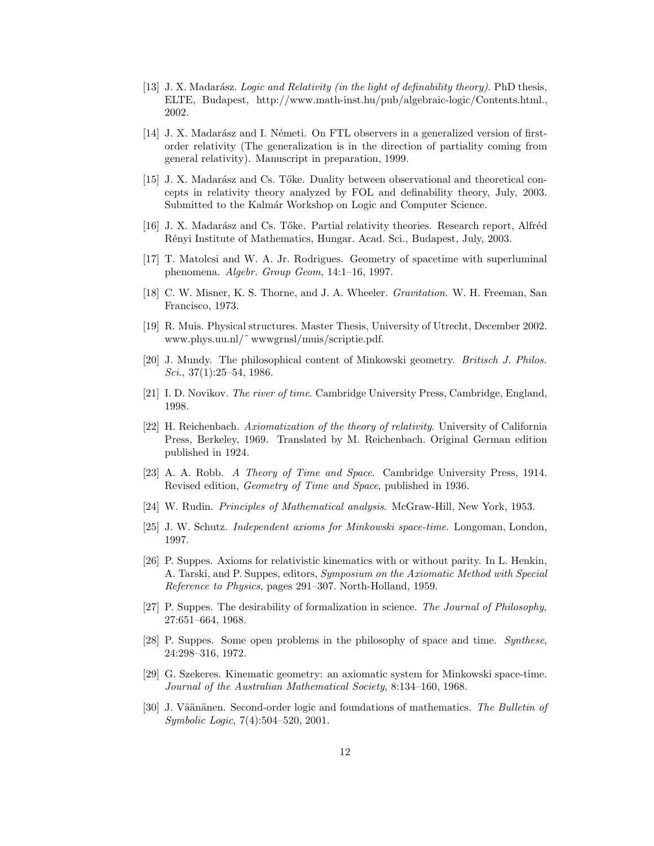- [13] J. X. Madarász. Logic and Relativity (in the light of definability theory). PhD thesis, ELTE, Budapest, http://www.math-inst.hu/pub/algebraic-logic/Contents.html., 2002.
- [14] J. X. Madarász and I. Németi. On FTL observers in a generalized version of firstorder relativity (The generalization is in the direction of partiality coming from general relativity). Manuscript in preparation, 1999.
- [15] J. X. Madarász and Cs. Tőke. Duality between observational and theoretical concepts in relativity theory analyzed by FOL and definability theory, July, 2003. Submitted to the Kalmár Workshop on Logic and Computer Science.
- [16] J. X. Madarász and Cs. Tőke. Partial relativity theories. Research report, Alfréd R´enyi Institute of Mathematics, Hungar. Acad. Sci., Budapest, July, 2003.
- [17] T. Matolcsi and W. A. Jr. Rodrigues. Geometry of spacetime with superluminal phenomena. Algebr. Group Geom, 14:1–16, 1997.
- [18] C. W. Misner, K. S. Thorne, and J. A. Wheeler. Gravitation. W. H. Freeman, San Francisco, 1973.
- [19] R. Muis. Physical structures. Master Thesis, University of Utrecht, December 2002. www.phys.uu.nl/˜ wwwgrnsl/muis/scriptie.pdf.
- [20] J. Mundy. The philosophical content of Minkowski geometry. Britisch J. Philos. Sci.,  $37(1):25-54$ , 1986.
- [21] I. D. Novikov. The river of time. Cambridge University Press, Cambridge, England, 1998.
- [22] H. Reichenbach. Axiomatization of the theory of relativity. University of California Press, Berkeley, 1969. Translated by M. Reichenbach. Original German edition published in 1924.
- [23] A. A. Robb. A Theory of Time and Space. Cambridge University Press, 1914. Revised edition, Geometry of Time and Space, published in 1936.
- [24] W. Rudin. Principles of Mathematical analysis. McGraw-Hill, New York, 1953.
- [25] J. W. Schutz. Independent axioms for Minkowski space-time. Longoman, London, 1997.
- [26] P. Suppes. Axioms for relativistic kinematics with or without parity. In L. Henkin, A. Tarski, and P. Suppes, editors, Symposium on the Axiomatic Method with Special Reference to Physics, pages 291–307. North-Holland, 1959.
- [27] P. Suppes. The desirability of formalization in science. The Journal of Philosophy, 27:651–664, 1968.
- [28] P. Suppes. Some open problems in the philosophy of space and time. Synthese, 24:298–316, 1972.
- [29] G. Szekeres. Kinematic geometry: an axiomatic system for Minkowski space-time. Journal of the Australian Mathematical Society, 8:134–160, 1968.
- [30] J. Väänänen. Second-order logic and foundations of mathematics. The Bulletin of Symbolic Logic, 7(4):504–520, 2001.